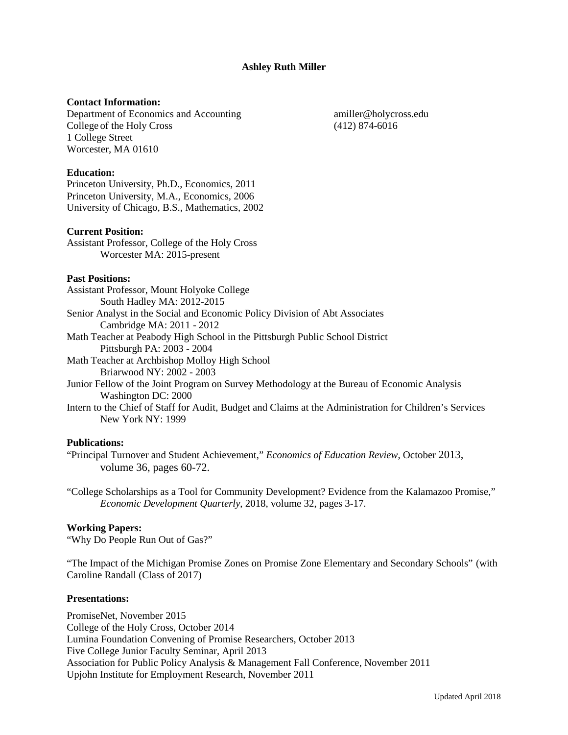**Ashley Ruth Miller**

# **Contact Information:**

Department of Economics and Accounting amiller@holycross.edu College of the Holy Cross (412) 874-6016 1 College Street Worcester, MA 01610

### **Education:**

Princeton University, Ph.D., Economics, 2011 Princeton University, M.A., Economics, 2006 University of Chicago, B.S., Mathematics, 2002

#### **Current Position:**

Assistant Professor, College of the Holy Cross Worcester MA: 2015-present

#### **Past Positions:**

Assistant Professor, Mount Holyoke College South Hadley MA: 2012-2015 Senior Analyst in the Social and Economic Policy Division of Abt Associates Cambridge MA: 2011 - 2012 Math Teacher at Peabody High School in the Pittsburgh Public School District Pittsburgh PA: 2003 - 2004 Math Teacher at Archbishop Molloy High School Briarwood NY: 2002 - 2003 Junior Fellow of the Joint Program on Survey Methodology at the Bureau of Economic Analysis Washington DC: 2000

Intern to the Chief of Staff for Audit, Budget and Claims at the Administration for Children's Services New York NY: 1999

## **Publications:**

"Principal Turnover and Student Achievement," *Economics of Education Review*, October 2013, volume 36, pages 60-72.

"College Scholarships as a Tool for Community Development? Evidence from the Kalamazoo Promise," *Economic Development Quarterly*, 2018, volume 32, pages 3-17.

#### **Working Papers:**

"Why Do People Run Out of Gas?"

"The Impact of the Michigan Promise Zones on Promise Zone Elementary and Secondary Schools" (with Caroline Randall (Class of 2017)

# **Presentations:**

PromiseNet, November 2015 College of the Holy Cross, October 2014 Lumina Foundation Convening of Promise Researchers, October 2013 Five College Junior Faculty Seminar, April 2013 Association for Public Policy Analysis & Management Fall Conference, November 2011 Upjohn Institute for Employment Research, November 2011